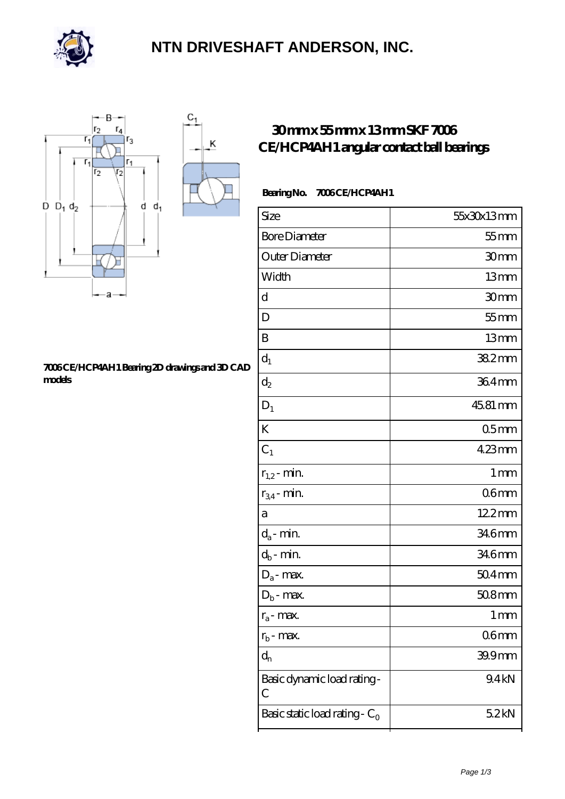

### **[NTN DRIVESHAFT ANDERSON, INC.](https://m.flash-igre.net)**

Κ



#### **[7006 CE/HCP4AH1 Bearing 2D drawings and 3D CAD](https://m.flash-igre.net/pic-436676.html) [models](https://m.flash-igre.net/pic-436676.html)**

### **[30 mm x 55 mm x 13 mm SKF 7006](https://m.flash-igre.net/af-436676-skf-7006-ce-hcp4ah1-angular-contact-ball-bearings.html) [CE/HCP4AH1 angular contact ball bearings](https://m.flash-igre.net/af-436676-skf-7006-ce-hcp4ah1-angular-contact-ball-bearings.html)**

#### Bearing No. 7006 CE/HCP4AH1

| Size                             | 55x30x13mm         |
|----------------------------------|--------------------|
| <b>Bore Diameter</b>             | $55$ mm            |
| Outer Diameter                   | 30mm               |
| Width                            | 13mm               |
| d                                | 30mm               |
| D                                | $55$ mm            |
| B                                | 13mm               |
| $\mathbf{d}_1$                   | $382$ mm           |
| $\mathrm{d}_2$                   | 364mm              |
| $D_1$                            | 45.81 mm           |
| K                                | 05 <sub>mm</sub>   |
| $C_1$                            | $423$ mm           |
| $r_{1,2}$ - min.                 | 1 <sub>mm</sub>    |
| $r_{34}$ - min.                  | 06 <sub>mm</sub>   |
| а                                | 12.2mm             |
| $d_a$ - min.                     | 346mm              |
| $d_b$ - min.                     | 346mm              |
| $D_a$ - max.                     | $504$ mm           |
| $D_b$ - max.                     | $508$ mm           |
| $r_a$ - max.                     | $1 \, \mathrm{mm}$ |
| $r_{b}$ - max.                   | 06mm               |
| $d_{n}$                          | 39.9mm             |
| Basic dynamic load rating-<br>С  | 9.4kN              |
| Basic static load rating - $C_0$ | 52kN               |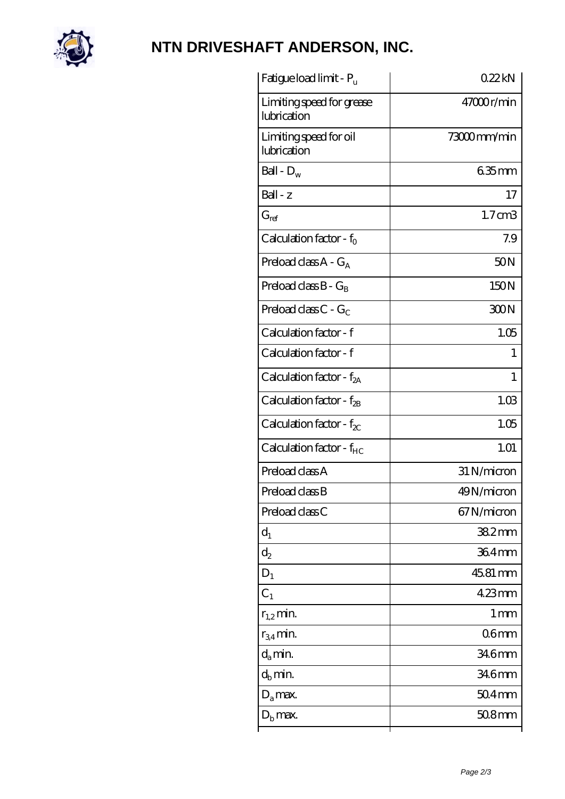

# **[NTN DRIVESHAFT ANDERSON, INC.](https://m.flash-igre.net)**

| Fatigue load limit - P <sub>u</sub>      | 022kN              |
|------------------------------------------|--------------------|
| Limiting speed for grease<br>lubrication | $47000$ r/min      |
| Limiting speed for oil<br>lubrication    | 73000mm/min        |
| Ball - $D_w$                             | $635$ mm           |
| $Ball - z$                               | 17                 |
| $G_{ref}$                                | 1.7 <sub>cm3</sub> |
| Calculation factor - $f_0$               | 7.9                |
| Preload class $A - G_A$                  | 50N                |
| Preload class $B - G_R$                  | 150N               |
| Preload class $C - G_C$                  | 300N               |
| Calculation factor - f                   | 1.05               |
| Calculation factor - f                   | 1                  |
| Calculation factor - $f_{2A}$            | 1                  |
| Calculation factor - $f_{2B}$            | 1.03               |
| Calculation factor - $f_{\chi}$          | 1.05               |
| Calculation factor - $f_{HC}$            | 1.01               |
| Preload class A                          | 31 N/micron        |
| Preload class B                          | 49N/micron         |
| Preload class C                          | 67N/micron         |
| $d_1$                                    | $382$ mm           |
| $d_2$                                    | 364mm              |
| $D_1$                                    | 45.81 mm           |
| $C_1$                                    | $423$ mm           |
| $r_{1,2}$ min.                           | 1 <sub>mm</sub>    |
| $r_{34}$ min.                            | 06 <sub>mm</sub>   |
| $d_a$ min.                               | 34.6mm             |
| $d_b$ min.                               | 34.6mm             |
| $D_a$ max.                               | $504$ mm           |
| $D_{\rm b}$ max.                         | $508$ mm           |
|                                          |                    |